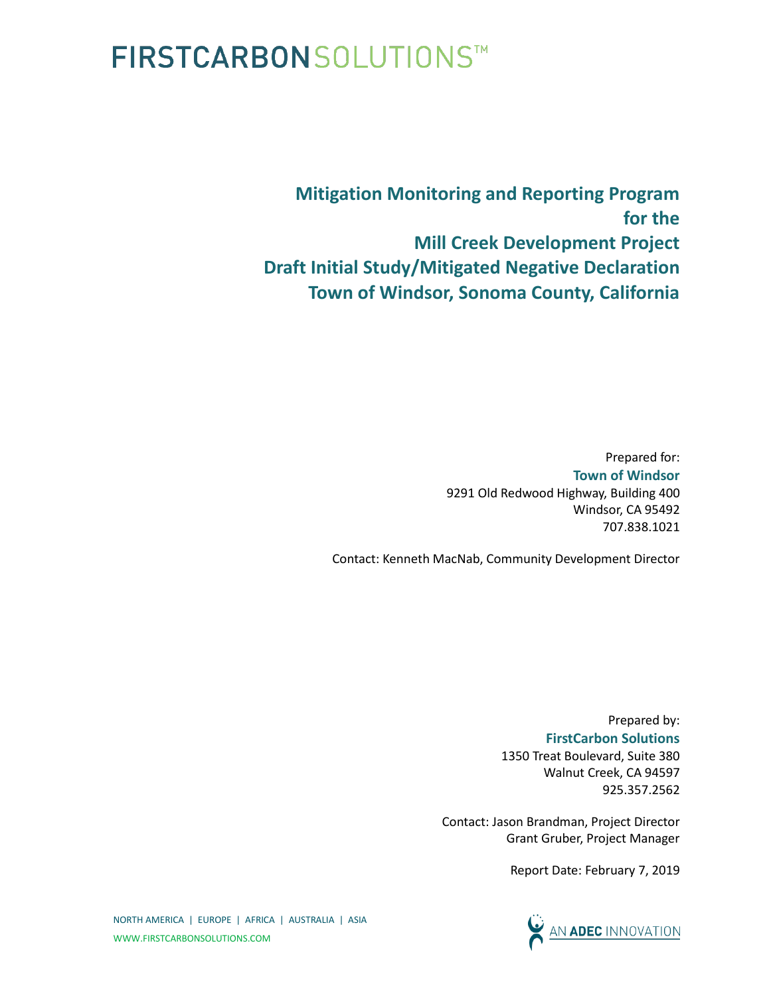## **FIRSTCARBONSOLUTIONS™**

**Mitigation Monitoring and Reporting Program for the Mill Creek Development Project Draft Initial Study/Mitigated Negative Declaration Town of Windsor, Sonoma County, California**

> Prepared for: **Town of Windsor** 9291 Old Redwood Highway, Building 400 Windsor, CA 95492 707.838.1021

Contact: Kenneth MacNab, Community Development Director

Prepared by: **FirstCarbon Solutions** 1350 Treat Boulevard, Suite 380 Walnut Creek, CA 94597 925.357.2562

Contact: Jason Brandman, Project Director Grant Gruber, Project Manager

Report Date: February 7, 2019



NORTH AMERICA | EUROPE | AFRICA | AUSTRALIA | ASIA WWW.FIRSTCARBONSOLUTIONS.COM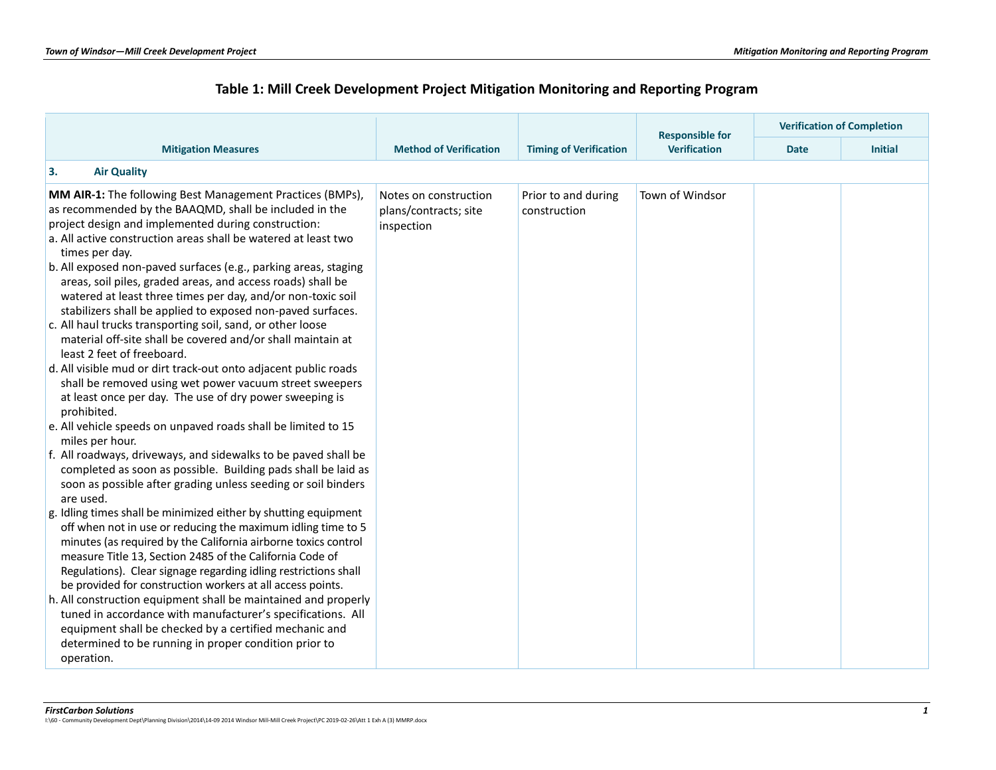## **Table 1: Mill Creek Development Project Mitigation Monitoring and Reporting Program**

|                                                                                                                                                                                                                                                                                                                                                                                                                                                                                                                                                                                                                                                                                                                                                                                                                                                                                                                                                                                                                                                                                                                                                                                                                                                                                                                                                                                                                                                                                                                                                                                                                                                                            |                                                              |                                     | <b>Responsible for</b> |             | <b>Verification of Completion</b> |
|----------------------------------------------------------------------------------------------------------------------------------------------------------------------------------------------------------------------------------------------------------------------------------------------------------------------------------------------------------------------------------------------------------------------------------------------------------------------------------------------------------------------------------------------------------------------------------------------------------------------------------------------------------------------------------------------------------------------------------------------------------------------------------------------------------------------------------------------------------------------------------------------------------------------------------------------------------------------------------------------------------------------------------------------------------------------------------------------------------------------------------------------------------------------------------------------------------------------------------------------------------------------------------------------------------------------------------------------------------------------------------------------------------------------------------------------------------------------------------------------------------------------------------------------------------------------------------------------------------------------------------------------------------------------------|--------------------------------------------------------------|-------------------------------------|------------------------|-------------|-----------------------------------|
| <b>Mitigation Measures</b>                                                                                                                                                                                                                                                                                                                                                                                                                                                                                                                                                                                                                                                                                                                                                                                                                                                                                                                                                                                                                                                                                                                                                                                                                                                                                                                                                                                                                                                                                                                                                                                                                                                 | <b>Method of Verification</b>                                | <b>Timing of Verification</b>       | <b>Verification</b>    | <b>Date</b> | <b>Initial</b>                    |
| 3.<br><b>Air Quality</b>                                                                                                                                                                                                                                                                                                                                                                                                                                                                                                                                                                                                                                                                                                                                                                                                                                                                                                                                                                                                                                                                                                                                                                                                                                                                                                                                                                                                                                                                                                                                                                                                                                                   |                                                              |                                     |                        |             |                                   |
| MM AIR-1: The following Best Management Practices (BMPs),<br>as recommended by the BAAQMD, shall be included in the<br>project design and implemented during construction:<br>a. All active construction areas shall be watered at least two<br>times per day.<br>b. All exposed non-paved surfaces (e.g., parking areas, staging<br>areas, soil piles, graded areas, and access roads) shall be<br>watered at least three times per day, and/or non-toxic soil<br>stabilizers shall be applied to exposed non-paved surfaces.<br>c. All haul trucks transporting soil, sand, or other loose<br>material off-site shall be covered and/or shall maintain at<br>least 2 feet of freeboard.<br>d. All visible mud or dirt track-out onto adjacent public roads<br>shall be removed using wet power vacuum street sweepers<br>at least once per day. The use of dry power sweeping is<br>prohibited.<br>e. All vehicle speeds on unpaved roads shall be limited to 15<br>miles per hour.<br>f. All roadways, driveways, and sidewalks to be paved shall be<br>completed as soon as possible. Building pads shall be laid as<br>soon as possible after grading unless seeding or soil binders<br>are used.<br>g. Idling times shall be minimized either by shutting equipment<br>off when not in use or reducing the maximum idling time to 5<br>minutes (as required by the California airborne toxics control<br>measure Title 13, Section 2485 of the California Code of<br>Regulations). Clear signage regarding idling restrictions shall<br>be provided for construction workers at all access points.<br>h. All construction equipment shall be maintained and properly | Notes on construction<br>plans/contracts; site<br>inspection | Prior to and during<br>construction | Town of Windsor        |             |                                   |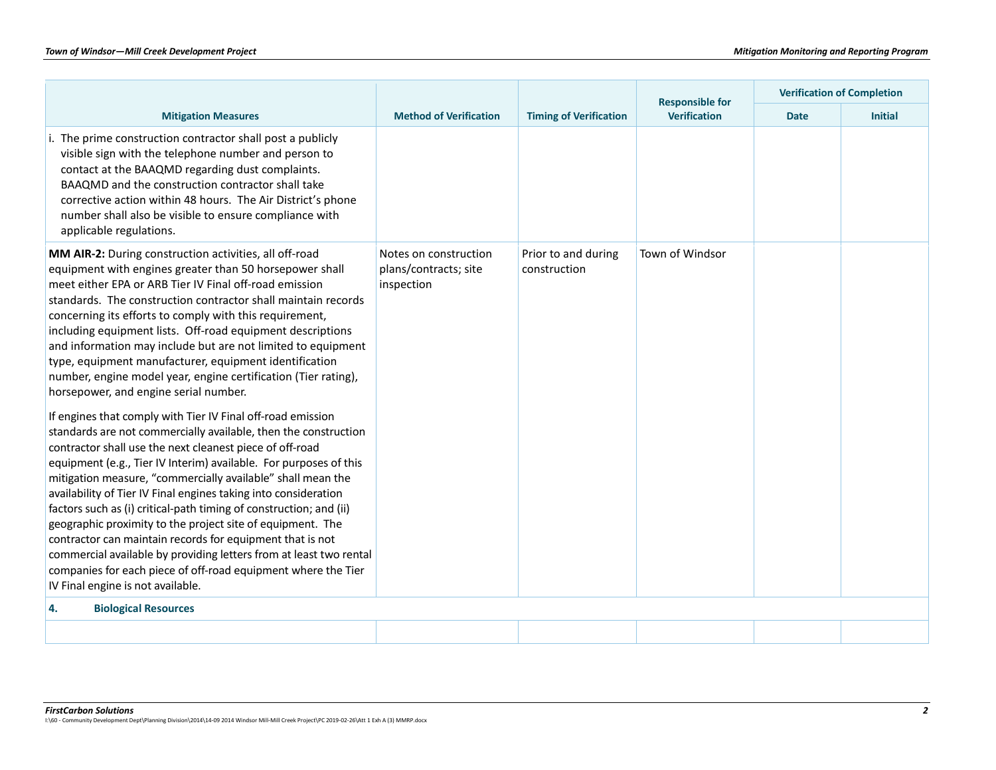|                                                                                                                                                                                                                                                                                                                                                                                                                                                                                                                                                                                                                                                                                                                                                                                |                                                              |                                     | <b>Responsible for</b> | <b>Verification of Completion</b> |                |
|--------------------------------------------------------------------------------------------------------------------------------------------------------------------------------------------------------------------------------------------------------------------------------------------------------------------------------------------------------------------------------------------------------------------------------------------------------------------------------------------------------------------------------------------------------------------------------------------------------------------------------------------------------------------------------------------------------------------------------------------------------------------------------|--------------------------------------------------------------|-------------------------------------|------------------------|-----------------------------------|----------------|
| <b>Mitigation Measures</b>                                                                                                                                                                                                                                                                                                                                                                                                                                                                                                                                                                                                                                                                                                                                                     | <b>Method of Verification</b>                                | <b>Timing of Verification</b>       | <b>Verification</b>    | <b>Date</b>                       | <b>Initial</b> |
| i. The prime construction contractor shall post a publicly<br>visible sign with the telephone number and person to<br>contact at the BAAQMD regarding dust complaints.<br>BAAQMD and the construction contractor shall take<br>corrective action within 48 hours. The Air District's phone<br>number shall also be visible to ensure compliance with<br>applicable regulations.                                                                                                                                                                                                                                                                                                                                                                                                |                                                              |                                     |                        |                                   |                |
| MM AIR-2: During construction activities, all off-road<br>equipment with engines greater than 50 horsepower shall<br>meet either EPA or ARB Tier IV Final off-road emission<br>standards. The construction contractor shall maintain records<br>concerning its efforts to comply with this requirement,<br>including equipment lists. Off-road equipment descriptions<br>and information may include but are not limited to equipment<br>type, equipment manufacturer, equipment identification<br>number, engine model year, engine certification (Tier rating),<br>horsepower, and engine serial number.                                                                                                                                                                     | Notes on construction<br>plans/contracts; site<br>inspection | Prior to and during<br>construction | Town of Windsor        |                                   |                |
| If engines that comply with Tier IV Final off-road emission<br>standards are not commercially available, then the construction<br>contractor shall use the next cleanest piece of off-road<br>equipment (e.g., Tier IV Interim) available. For purposes of this<br>mitigation measure, "commercially available" shall mean the<br>availability of Tier IV Final engines taking into consideration<br>factors such as (i) critical-path timing of construction; and (ii)<br>geographic proximity to the project site of equipment. The<br>contractor can maintain records for equipment that is not<br>commercial available by providing letters from at least two rental<br>companies for each piece of off-road equipment where the Tier<br>IV Final engine is not available. |                                                              |                                     |                        |                                   |                |
| <b>Biological Resources</b><br>4.                                                                                                                                                                                                                                                                                                                                                                                                                                                                                                                                                                                                                                                                                                                                              |                                                              |                                     |                        |                                   |                |
|                                                                                                                                                                                                                                                                                                                                                                                                                                                                                                                                                                                                                                                                                                                                                                                |                                                              |                                     |                        |                                   |                |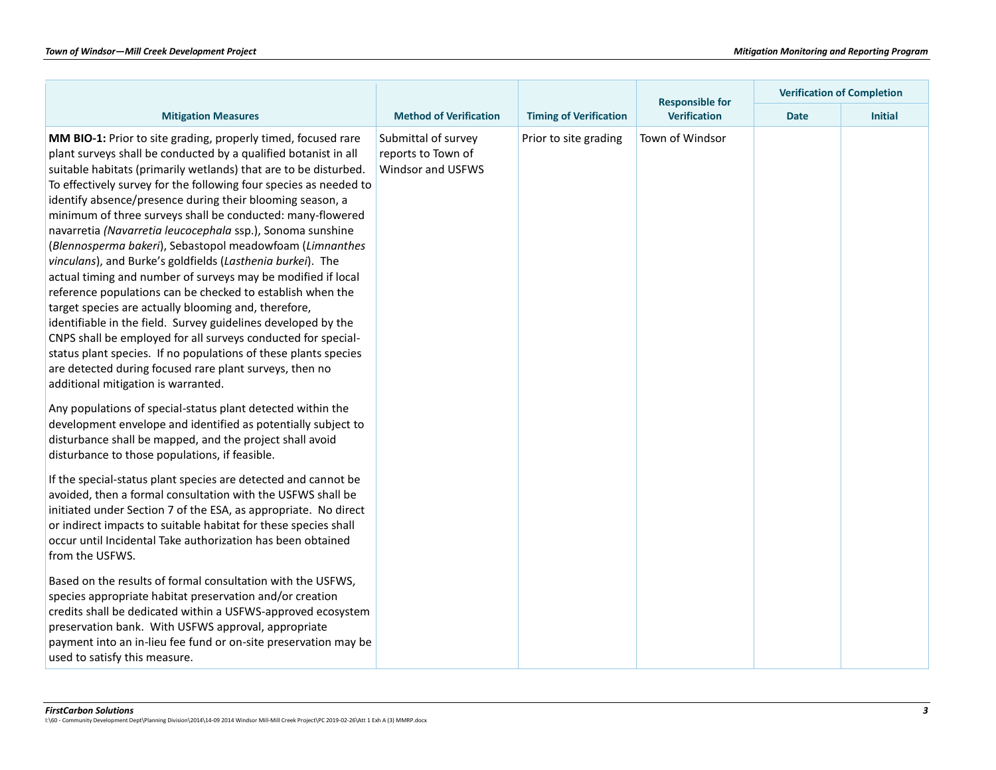|                                                                                                                                                                                                                                                                                                                                                                                                                                                                                                                                                                                                                                                                                                                                                                                                                                                                                                                                                                                                                                                                                           |                                                                |                               | <b>Responsible for</b> | <b>Verification of Completion</b> |                |  |
|-------------------------------------------------------------------------------------------------------------------------------------------------------------------------------------------------------------------------------------------------------------------------------------------------------------------------------------------------------------------------------------------------------------------------------------------------------------------------------------------------------------------------------------------------------------------------------------------------------------------------------------------------------------------------------------------------------------------------------------------------------------------------------------------------------------------------------------------------------------------------------------------------------------------------------------------------------------------------------------------------------------------------------------------------------------------------------------------|----------------------------------------------------------------|-------------------------------|------------------------|-----------------------------------|----------------|--|
| <b>Mitigation Measures</b>                                                                                                                                                                                                                                                                                                                                                                                                                                                                                                                                                                                                                                                                                                                                                                                                                                                                                                                                                                                                                                                                | <b>Method of Verification</b>                                  | <b>Timing of Verification</b> | <b>Verification</b>    | <b>Date</b>                       | <b>Initial</b> |  |
| MM BIO-1: Prior to site grading, properly timed, focused rare<br>plant surveys shall be conducted by a qualified botanist in all<br>suitable habitats (primarily wetlands) that are to be disturbed.<br>To effectively survey for the following four species as needed to<br>identify absence/presence during their blooming season, a<br>minimum of three surveys shall be conducted: many-flowered<br>navarretia (Navarretia leucocephala ssp.), Sonoma sunshine<br>(Blennosperma bakeri), Sebastopol meadowfoam (Limnanthes<br>vinculans), and Burke's goldfields (Lasthenia burkei). The<br>actual timing and number of surveys may be modified if local<br>reference populations can be checked to establish when the<br>target species are actually blooming and, therefore,<br>identifiable in the field. Survey guidelines developed by the<br>CNPS shall be employed for all surveys conducted for special-<br>status plant species. If no populations of these plants species<br>are detected during focused rare plant surveys, then no<br>additional mitigation is warranted. | Submittal of survey<br>reports to Town of<br>Windsor and USFWS | Prior to site grading         | Town of Windsor        |                                   |                |  |
| Any populations of special-status plant detected within the<br>development envelope and identified as potentially subject to<br>disturbance shall be mapped, and the project shall avoid<br>disturbance to those populations, if feasible.                                                                                                                                                                                                                                                                                                                                                                                                                                                                                                                                                                                                                                                                                                                                                                                                                                                |                                                                |                               |                        |                                   |                |  |
| If the special-status plant species are detected and cannot be<br>avoided, then a formal consultation with the USFWS shall be<br>initiated under Section 7 of the ESA, as appropriate. No direct<br>or indirect impacts to suitable habitat for these species shall<br>occur until Incidental Take authorization has been obtained<br>from the USFWS.                                                                                                                                                                                                                                                                                                                                                                                                                                                                                                                                                                                                                                                                                                                                     |                                                                |                               |                        |                                   |                |  |
| Based on the results of formal consultation with the USFWS,<br>species appropriate habitat preservation and/or creation<br>credits shall be dedicated within a USFWS-approved ecosystem<br>preservation bank. With USFWS approval, appropriate<br>payment into an in-lieu fee fund or on-site preservation may be<br>used to satisfy this measure.                                                                                                                                                                                                                                                                                                                                                                                                                                                                                                                                                                                                                                                                                                                                        |                                                                |                               |                        |                                   |                |  |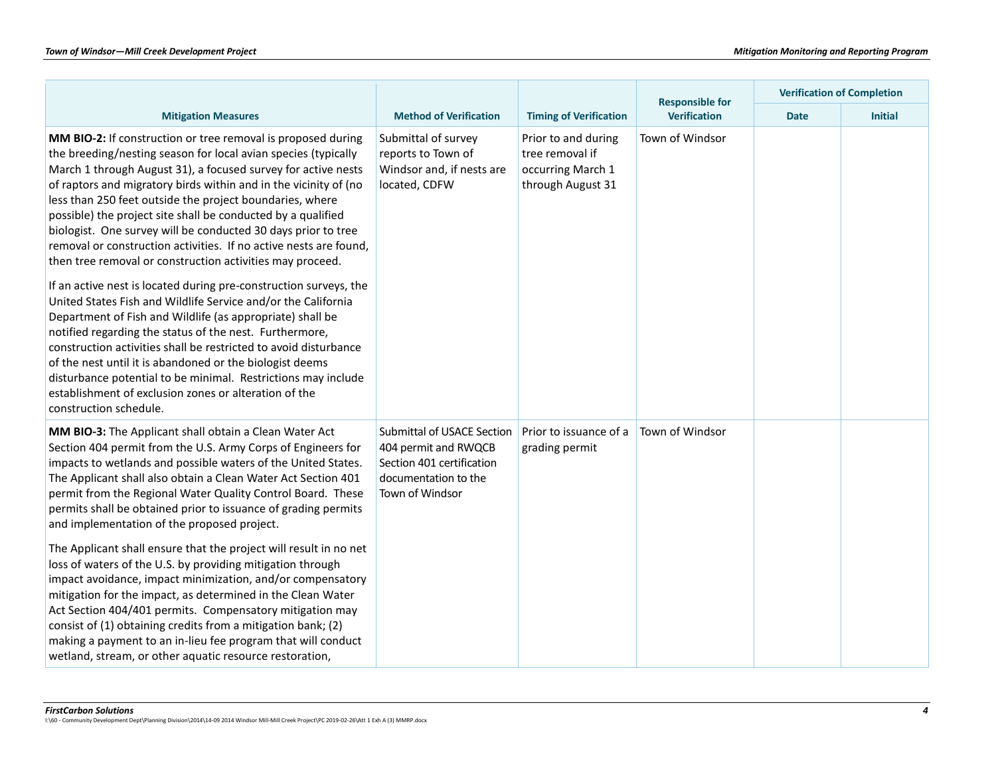|                                                                                                                                                                                                                                                                                                                                                                                                                                                                                                                                                                                                                                                                         |                                                                                                                            |                                                                                  | <b>Responsible for</b> | <b>Verification of Completion</b> |                |  |
|-------------------------------------------------------------------------------------------------------------------------------------------------------------------------------------------------------------------------------------------------------------------------------------------------------------------------------------------------------------------------------------------------------------------------------------------------------------------------------------------------------------------------------------------------------------------------------------------------------------------------------------------------------------------------|----------------------------------------------------------------------------------------------------------------------------|----------------------------------------------------------------------------------|------------------------|-----------------------------------|----------------|--|
| <b>Mitigation Measures</b>                                                                                                                                                                                                                                                                                                                                                                                                                                                                                                                                                                                                                                              | <b>Method of Verification</b>                                                                                              | <b>Timing of Verification</b>                                                    | <b>Verification</b>    | <b>Date</b>                       | <b>Initial</b> |  |
| MM BIO-2: If construction or tree removal is proposed during<br>the breeding/nesting season for local avian species (typically<br>March 1 through August 31), a focused survey for active nests<br>of raptors and migratory birds within and in the vicinity of (no<br>less than 250 feet outside the project boundaries, where<br>possible) the project site shall be conducted by a qualified<br>biologist. One survey will be conducted 30 days prior to tree<br>removal or construction activities. If no active nests are found,<br>then tree removal or construction activities may proceed.<br>If an active nest is located during pre-construction surveys, the | Submittal of survey<br>reports to Town of<br>Windsor and, if nests are<br>located, CDFW                                    | Prior to and during<br>tree removal if<br>occurring March 1<br>through August 31 | Town of Windsor        |                                   |                |  |
| United States Fish and Wildlife Service and/or the California<br>Department of Fish and Wildlife (as appropriate) shall be<br>notified regarding the status of the nest. Furthermore,<br>construction activities shall be restricted to avoid disturbance<br>of the nest until it is abandoned or the biologist deems<br>disturbance potential to be minimal. Restrictions may include<br>establishment of exclusion zones or alteration of the<br>construction schedule.                                                                                                                                                                                               |                                                                                                                            |                                                                                  |                        |                                   |                |  |
| MM BIO-3: The Applicant shall obtain a Clean Water Act<br>Section 404 permit from the U.S. Army Corps of Engineers for<br>impacts to wetlands and possible waters of the United States.<br>The Applicant shall also obtain a Clean Water Act Section 401<br>permit from the Regional Water Quality Control Board. These<br>permits shall be obtained prior to issuance of grading permits<br>and implementation of the proposed project.                                                                                                                                                                                                                                | Submittal of USACE Section<br>404 permit and RWQCB<br>Section 401 certification<br>documentation to the<br>Town of Windsor | Prior to issuance of a<br>grading permit                                         | Town of Windsor        |                                   |                |  |
| The Applicant shall ensure that the project will result in no net<br>loss of waters of the U.S. by providing mitigation through<br>impact avoidance, impact minimization, and/or compensatory<br>mitigation for the impact, as determined in the Clean Water<br>Act Section 404/401 permits. Compensatory mitigation may<br>consist of (1) obtaining credits from a mitigation bank; (2)<br>making a payment to an in-lieu fee program that will conduct<br>wetland, stream, or other aquatic resource restoration,                                                                                                                                                     |                                                                                                                            |                                                                                  |                        |                                   |                |  |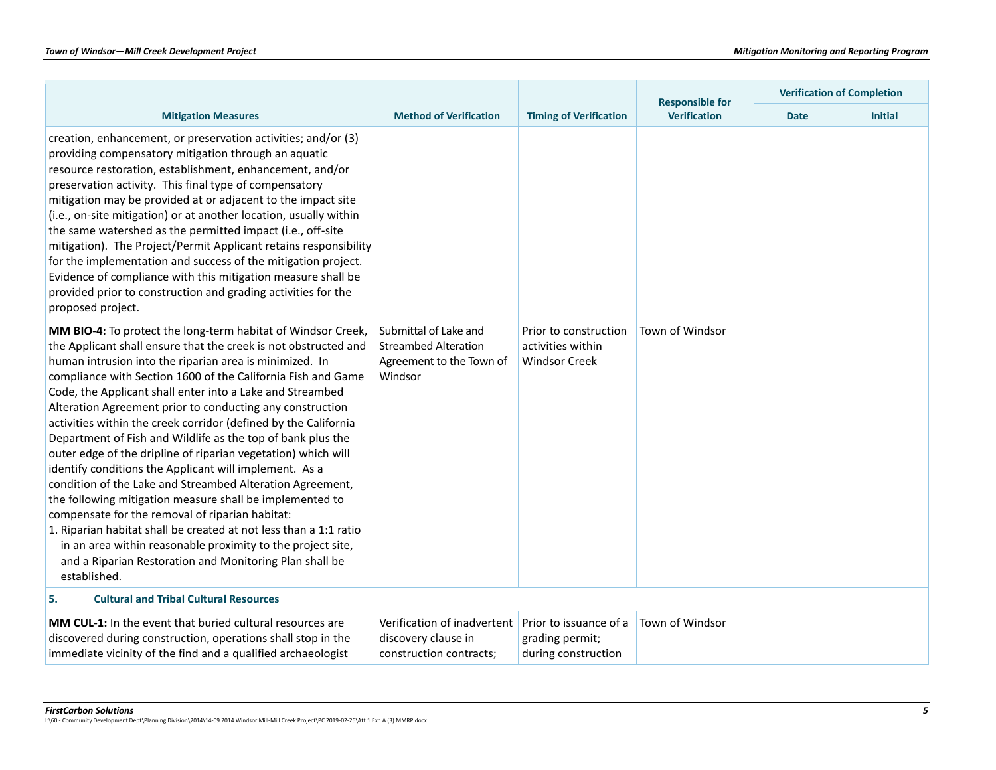|                                                                                                                                                                                                                                                                                                                                                                                                                                                                                                                                                                                                                                                                                                                                                                                                                                                                                                                                                                                                                                              |                                                                                             |                                                                    |                     | <b>Verification of Completion</b><br><b>Responsible for</b> |                |
|----------------------------------------------------------------------------------------------------------------------------------------------------------------------------------------------------------------------------------------------------------------------------------------------------------------------------------------------------------------------------------------------------------------------------------------------------------------------------------------------------------------------------------------------------------------------------------------------------------------------------------------------------------------------------------------------------------------------------------------------------------------------------------------------------------------------------------------------------------------------------------------------------------------------------------------------------------------------------------------------------------------------------------------------|---------------------------------------------------------------------------------------------|--------------------------------------------------------------------|---------------------|-------------------------------------------------------------|----------------|
| <b>Mitigation Measures</b>                                                                                                                                                                                                                                                                                                                                                                                                                                                                                                                                                                                                                                                                                                                                                                                                                                                                                                                                                                                                                   | <b>Method of Verification</b>                                                               | <b>Timing of Verification</b>                                      | <b>Verification</b> | <b>Date</b>                                                 | <b>Initial</b> |
| creation, enhancement, or preservation activities; and/or (3)<br>providing compensatory mitigation through an aquatic<br>resource restoration, establishment, enhancement, and/or<br>preservation activity. This final type of compensatory<br>mitigation may be provided at or adjacent to the impact site<br>(i.e., on-site mitigation) or at another location, usually within<br>the same watershed as the permitted impact (i.e., off-site<br>mitigation). The Project/Permit Applicant retains responsibility<br>for the implementation and success of the mitigation project.<br>Evidence of compliance with this mitigation measure shall be<br>provided prior to construction and grading activities for the<br>proposed project.                                                                                                                                                                                                                                                                                                    |                                                                                             |                                                                    |                     |                                                             |                |
| MM BIO-4: To protect the long-term habitat of Windsor Creek,<br>the Applicant shall ensure that the creek is not obstructed and<br>human intrusion into the riparian area is minimized. In<br>compliance with Section 1600 of the California Fish and Game<br>Code, the Applicant shall enter into a Lake and Streambed<br>Alteration Agreement prior to conducting any construction<br>activities within the creek corridor (defined by the California<br>Department of Fish and Wildlife as the top of bank plus the<br>outer edge of the dripline of riparian vegetation) which will<br>identify conditions the Applicant will implement. As a<br>condition of the Lake and Streambed Alteration Agreement,<br>the following mitigation measure shall be implemented to<br>compensate for the removal of riparian habitat:<br>1. Riparian habitat shall be created at not less than a 1:1 ratio<br>in an area within reasonable proximity to the project site,<br>and a Riparian Restoration and Monitoring Plan shall be<br>established. | Submittal of Lake and<br><b>Streambed Alteration</b><br>Agreement to the Town of<br>Windsor | Prior to construction<br>activities within<br><b>Windsor Creek</b> | Town of Windsor     |                                                             |                |
| <b>Cultural and Tribal Cultural Resources</b><br>5.                                                                                                                                                                                                                                                                                                                                                                                                                                                                                                                                                                                                                                                                                                                                                                                                                                                                                                                                                                                          |                                                                                             |                                                                    |                     |                                                             |                |
| MM CUL-1: In the event that buried cultural resources are<br>discovered during construction, operations shall stop in the<br>immediate vicinity of the find and a qualified archaeologist                                                                                                                                                                                                                                                                                                                                                                                                                                                                                                                                                                                                                                                                                                                                                                                                                                                    | Verification of inadvertent<br>discovery clause in<br>construction contracts;               | Prior to issuance of a<br>grading permit;<br>during construction   | Town of Windsor     |                                                             |                |

*FirstCarbon Solutions 5* I:\60 - Community Development Dept\Planning Division\2014\14-09 2014 Windsor Mill-Mill Creek Project\PC 2019-02-26\Att 1 Exh A (3) MMRP.docx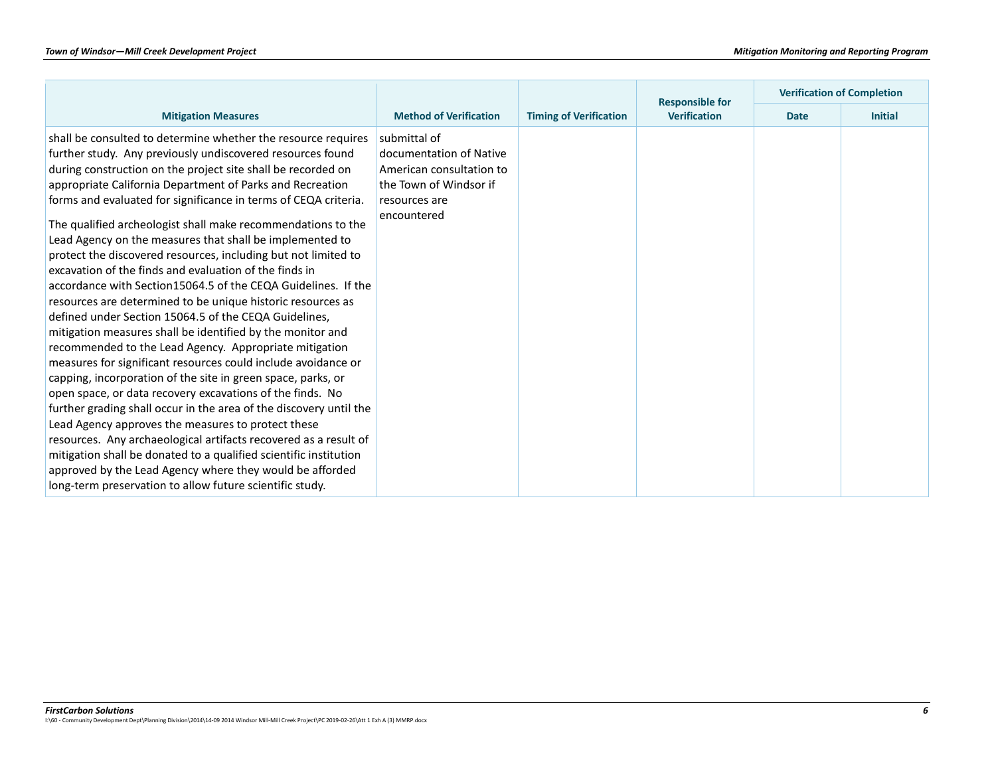|                                                                                                                      |                               |                               | <b>Responsible for</b> |             | <b>Verification of Completion</b> |
|----------------------------------------------------------------------------------------------------------------------|-------------------------------|-------------------------------|------------------------|-------------|-----------------------------------|
| <b>Mitigation Measures</b>                                                                                           | <b>Method of Verification</b> | <b>Timing of Verification</b> | <b>Verification</b>    | <b>Date</b> | <b>Initial</b>                    |
| shall be consulted to determine whether the resource requires                                                        | submittal of                  |                               |                        |             |                                   |
| further study. Any previously undiscovered resources found                                                           | documentation of Native       |                               |                        |             |                                   |
| during construction on the project site shall be recorded on                                                         | American consultation to      |                               |                        |             |                                   |
| appropriate California Department of Parks and Recreation                                                            | the Town of Windsor if        |                               |                        |             |                                   |
| forms and evaluated for significance in terms of CEQA criteria.                                                      | resources are                 |                               |                        |             |                                   |
| The qualified archeologist shall make recommendations to the                                                         | encountered                   |                               |                        |             |                                   |
| Lead Agency on the measures that shall be implemented to                                                             |                               |                               |                        |             |                                   |
| protect the discovered resources, including but not limited to                                                       |                               |                               |                        |             |                                   |
| excavation of the finds and evaluation of the finds in                                                               |                               |                               |                        |             |                                   |
| accordance with Section 15064.5 of the CEQA Guidelines. If the                                                       |                               |                               |                        |             |                                   |
|                                                                                                                      |                               |                               |                        |             |                                   |
| resources are determined to be unique historic resources as<br>defined under Section 15064.5 of the CEQA Guidelines, |                               |                               |                        |             |                                   |
|                                                                                                                      |                               |                               |                        |             |                                   |
| mitigation measures shall be identified by the monitor and                                                           |                               |                               |                        |             |                                   |
| recommended to the Lead Agency. Appropriate mitigation                                                               |                               |                               |                        |             |                                   |
| measures for significant resources could include avoidance or                                                        |                               |                               |                        |             |                                   |
| capping, incorporation of the site in green space, parks, or                                                         |                               |                               |                        |             |                                   |
| open space, or data recovery excavations of the finds. No                                                            |                               |                               |                        |             |                                   |
| further grading shall occur in the area of the discovery until the                                                   |                               |                               |                        |             |                                   |
| Lead Agency approves the measures to protect these                                                                   |                               |                               |                        |             |                                   |
| resources. Any archaeological artifacts recovered as a result of                                                     |                               |                               |                        |             |                                   |
| mitigation shall be donated to a qualified scientific institution                                                    |                               |                               |                        |             |                                   |
| approved by the Lead Agency where they would be afforded                                                             |                               |                               |                        |             |                                   |
| long-term preservation to allow future scientific study.                                                             |                               |                               |                        |             |                                   |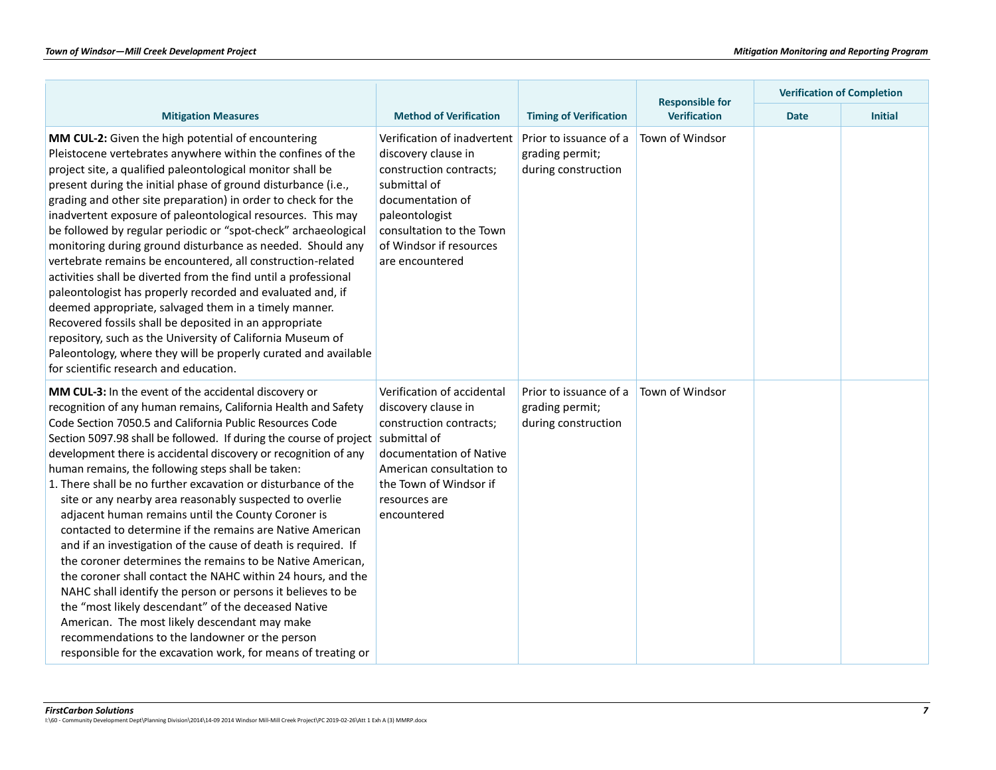|                                                                                                                                                                                                                                                                                                                                                                                                                                                                                                                                                                                                                                                                                                                                                                                                                                                                                                                                                                                                                                                                                                                          |                                                                                                                                                                                                               |                                                                  | <b>Responsible for</b><br>Verification | <b>Verification of Completion</b> |                |
|--------------------------------------------------------------------------------------------------------------------------------------------------------------------------------------------------------------------------------------------------------------------------------------------------------------------------------------------------------------------------------------------------------------------------------------------------------------------------------------------------------------------------------------------------------------------------------------------------------------------------------------------------------------------------------------------------------------------------------------------------------------------------------------------------------------------------------------------------------------------------------------------------------------------------------------------------------------------------------------------------------------------------------------------------------------------------------------------------------------------------|---------------------------------------------------------------------------------------------------------------------------------------------------------------------------------------------------------------|------------------------------------------------------------------|----------------------------------------|-----------------------------------|----------------|
| <b>Mitigation Measures</b>                                                                                                                                                                                                                                                                                                                                                                                                                                                                                                                                                                                                                                                                                                                                                                                                                                                                                                                                                                                                                                                                                               | <b>Method of Verification</b>                                                                                                                                                                                 | <b>Timing of Verification</b>                                    |                                        | <b>Date</b>                       | <b>Initial</b> |
| MM CUL-2: Given the high potential of encountering<br>Pleistocene vertebrates anywhere within the confines of the<br>project site, a qualified paleontological monitor shall be<br>present during the initial phase of ground disturbance (i.e.,<br>grading and other site preparation) in order to check for the<br>inadvertent exposure of paleontological resources. This may<br>be followed by regular periodic or "spot-check" archaeological<br>monitoring during ground disturbance as needed. Should any<br>vertebrate remains be encountered, all construction-related<br>activities shall be diverted from the find until a professional<br>paleontologist has properly recorded and evaluated and, if<br>deemed appropriate, salvaged them in a timely manner.<br>Recovered fossils shall be deposited in an appropriate<br>repository, such as the University of California Museum of<br>Paleontology, where they will be properly curated and available<br>for scientific research and education.                                                                                                           | Verification of inadvertent<br>discovery clause in<br>construction contracts;<br>submittal of<br>documentation of<br>paleontologist<br>consultation to the Town<br>of Windsor if resources<br>are encountered | Prior to issuance of a<br>grading permit;<br>during construction | Town of Windsor                        |                                   |                |
| MM CUL-3: In the event of the accidental discovery or<br>recognition of any human remains, California Health and Safety<br>Code Section 7050.5 and California Public Resources Code<br>Section 5097.98 shall be followed. If during the course of project<br>development there is accidental discovery or recognition of any<br>human remains, the following steps shall be taken:<br>1. There shall be no further excavation or disturbance of the<br>site or any nearby area reasonably suspected to overlie<br>adjacent human remains until the County Coroner is<br>contacted to determine if the remains are Native American<br>and if an investigation of the cause of death is required. If<br>the coroner determines the remains to be Native American,<br>the coroner shall contact the NAHC within 24 hours, and the<br>NAHC shall identify the person or persons it believes to be<br>the "most likely descendant" of the deceased Native<br>American. The most likely descendant may make<br>recommendations to the landowner or the person<br>responsible for the excavation work, for means of treating or | Verification of accidental<br>discovery clause in<br>construction contracts;<br>submittal of<br>documentation of Native<br>American consultation to<br>the Town of Windsor if<br>resources are<br>encountered | Prior to issuance of a<br>grading permit;<br>during construction | Town of Windsor                        |                                   |                |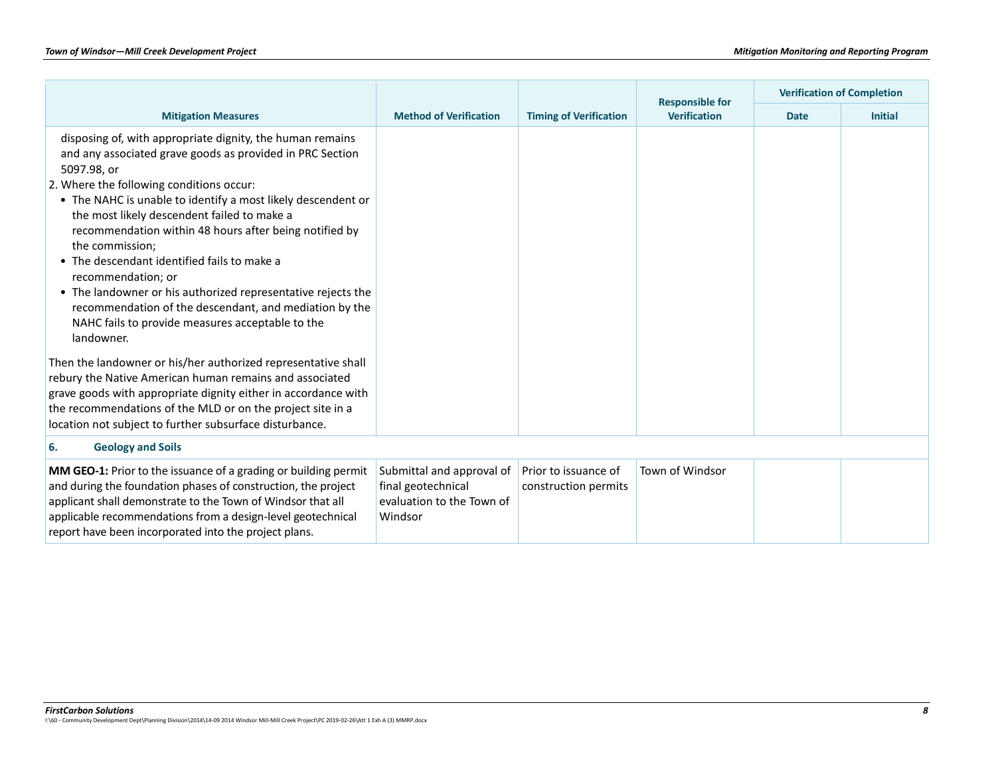|                                                                                                                                                                                                                                                                                                                                                                                                                                                                                                                                                                                                                                                |                                                                                         |                                              | <b>Responsible for</b> | <b>Verification of Completion</b> |                |
|------------------------------------------------------------------------------------------------------------------------------------------------------------------------------------------------------------------------------------------------------------------------------------------------------------------------------------------------------------------------------------------------------------------------------------------------------------------------------------------------------------------------------------------------------------------------------------------------------------------------------------------------|-----------------------------------------------------------------------------------------|----------------------------------------------|------------------------|-----------------------------------|----------------|
| <b>Mitigation Measures</b>                                                                                                                                                                                                                                                                                                                                                                                                                                                                                                                                                                                                                     | <b>Method of Verification</b>                                                           | <b>Timing of Verification</b>                | <b>Verification</b>    | <b>Date</b>                       | <b>Initial</b> |
| disposing of, with appropriate dignity, the human remains<br>and any associated grave goods as provided in PRC Section<br>5097.98, or<br>2. Where the following conditions occur:<br>• The NAHC is unable to identify a most likely descendent or<br>the most likely descendent failed to make a<br>recommendation within 48 hours after being notified by<br>the commission;<br>• The descendant identified fails to make a<br>recommendation; or<br>• The landowner or his authorized representative rejects the<br>recommendation of the descendant, and mediation by the<br>NAHC fails to provide measures acceptable to the<br>landowner. |                                                                                         |                                              |                        |                                   |                |
| Then the landowner or his/her authorized representative shall<br>rebury the Native American human remains and associated<br>grave goods with appropriate dignity either in accordance with<br>the recommendations of the MLD or on the project site in a<br>location not subject to further subsurface disturbance.                                                                                                                                                                                                                                                                                                                            |                                                                                         |                                              |                        |                                   |                |
| <b>Geology and Soils</b><br>6.                                                                                                                                                                                                                                                                                                                                                                                                                                                                                                                                                                                                                 |                                                                                         |                                              |                        |                                   |                |
| MM GEO-1: Prior to the issuance of a grading or building permit<br>and during the foundation phases of construction, the project<br>applicant shall demonstrate to the Town of Windsor that all<br>applicable recommendations from a design-level geotechnical<br>report have been incorporated into the project plans.                                                                                                                                                                                                                                                                                                                        | Submittal and approval of<br>final geotechnical<br>evaluation to the Town of<br>Windsor | Prior to issuance of<br>construction permits | Town of Windsor        |                                   |                |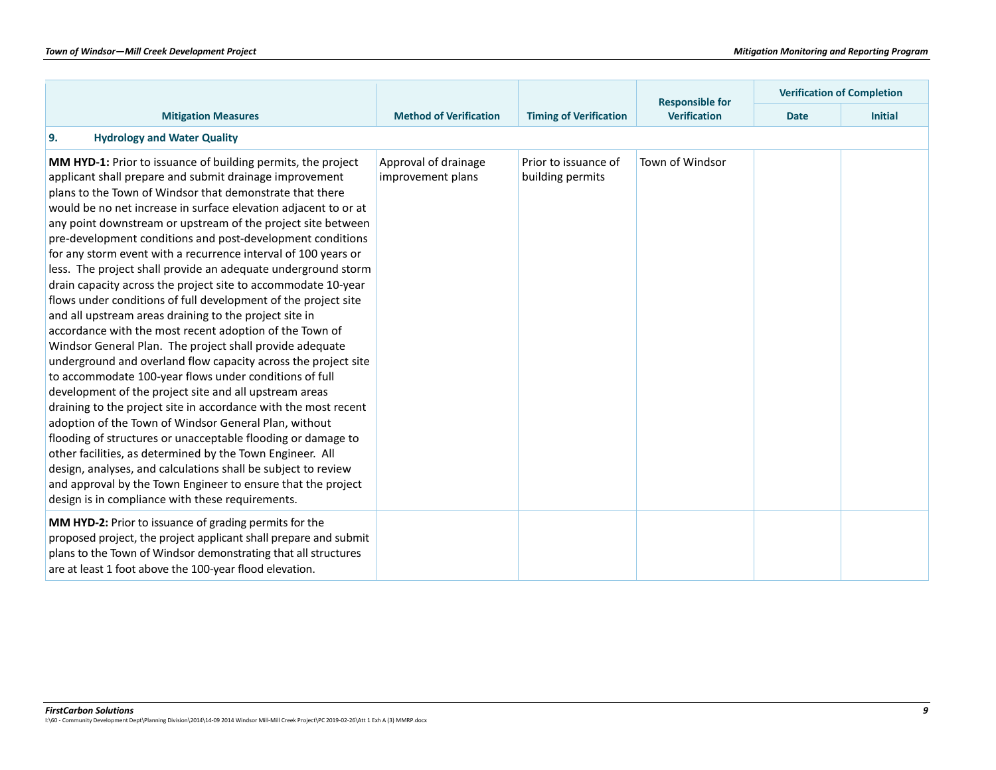|                                                                                                                                                                                                                                                                                                                                                                                                                                                                                                                                                                                                                                                                                                                                                                                                                                                                                                                                                                                                                                                                                                                                                                                                                                                                                                                                                                                                                                                                                 |                                           |                                          | <b>Responsible for</b> |             | <b>Verification of Completion</b> |
|---------------------------------------------------------------------------------------------------------------------------------------------------------------------------------------------------------------------------------------------------------------------------------------------------------------------------------------------------------------------------------------------------------------------------------------------------------------------------------------------------------------------------------------------------------------------------------------------------------------------------------------------------------------------------------------------------------------------------------------------------------------------------------------------------------------------------------------------------------------------------------------------------------------------------------------------------------------------------------------------------------------------------------------------------------------------------------------------------------------------------------------------------------------------------------------------------------------------------------------------------------------------------------------------------------------------------------------------------------------------------------------------------------------------------------------------------------------------------------|-------------------------------------------|------------------------------------------|------------------------|-------------|-----------------------------------|
| <b>Mitigation Measures</b>                                                                                                                                                                                                                                                                                                                                                                                                                                                                                                                                                                                                                                                                                                                                                                                                                                                                                                                                                                                                                                                                                                                                                                                                                                                                                                                                                                                                                                                      | <b>Method of Verification</b>             | <b>Timing of Verification</b>            | <b>Verification</b>    | <b>Date</b> | <b>Initial</b>                    |
| 9.<br><b>Hydrology and Water Quality</b>                                                                                                                                                                                                                                                                                                                                                                                                                                                                                                                                                                                                                                                                                                                                                                                                                                                                                                                                                                                                                                                                                                                                                                                                                                                                                                                                                                                                                                        |                                           |                                          |                        |             |                                   |
| MM HYD-1: Prior to issuance of building permits, the project<br>applicant shall prepare and submit drainage improvement<br>plans to the Town of Windsor that demonstrate that there<br>would be no net increase in surface elevation adjacent to or at<br>any point downstream or upstream of the project site between<br>pre-development conditions and post-development conditions<br>for any storm event with a recurrence interval of 100 years or<br>less. The project shall provide an adequate underground storm<br>drain capacity across the project site to accommodate 10-year<br>flows under conditions of full development of the project site<br>and all upstream areas draining to the project site in<br>accordance with the most recent adoption of the Town of<br>Windsor General Plan. The project shall provide adequate<br>underground and overland flow capacity across the project site<br>to accommodate 100-year flows under conditions of full<br>development of the project site and all upstream areas<br>draining to the project site in accordance with the most recent<br>adoption of the Town of Windsor General Plan, without<br>flooding of structures or unacceptable flooding or damage to<br>other facilities, as determined by the Town Engineer. All<br>design, analyses, and calculations shall be subject to review<br>and approval by the Town Engineer to ensure that the project<br>design is in compliance with these requirements. | Approval of drainage<br>improvement plans | Prior to issuance of<br>building permits | Town of Windsor        |             |                                   |
| MM HYD-2: Prior to issuance of grading permits for the<br>proposed project, the project applicant shall prepare and submit<br>plans to the Town of Windsor demonstrating that all structures<br>are at least 1 foot above the 100-year flood elevation.                                                                                                                                                                                                                                                                                                                                                                                                                                                                                                                                                                                                                                                                                                                                                                                                                                                                                                                                                                                                                                                                                                                                                                                                                         |                                           |                                          |                        |             |                                   |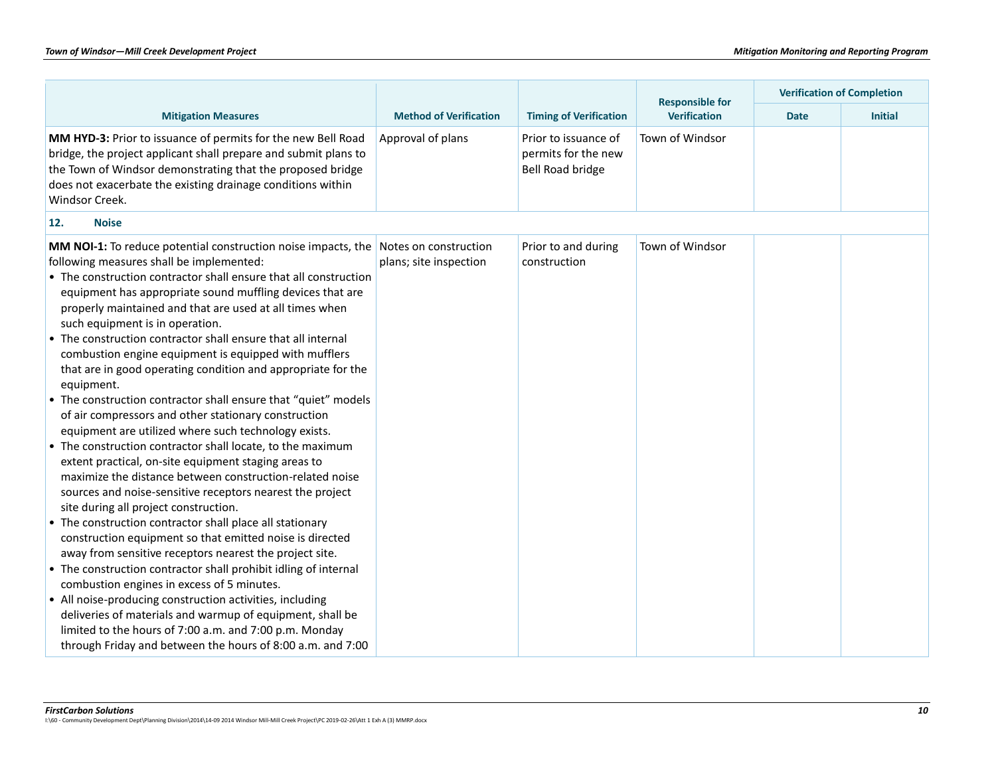|                                                                                                                                                                                                                                                                                                                                                                                                                                                                                                                                                                                                                                                                                                                                                                                                                                                                                                                                                                                                                                                                                                                                                                                                                                                                                                                                                                                                                                                                                                                                                                                       |                                                 |                                                                 |                                               | <b>Verification of Completion</b> |                |  |
|---------------------------------------------------------------------------------------------------------------------------------------------------------------------------------------------------------------------------------------------------------------------------------------------------------------------------------------------------------------------------------------------------------------------------------------------------------------------------------------------------------------------------------------------------------------------------------------------------------------------------------------------------------------------------------------------------------------------------------------------------------------------------------------------------------------------------------------------------------------------------------------------------------------------------------------------------------------------------------------------------------------------------------------------------------------------------------------------------------------------------------------------------------------------------------------------------------------------------------------------------------------------------------------------------------------------------------------------------------------------------------------------------------------------------------------------------------------------------------------------------------------------------------------------------------------------------------------|-------------------------------------------------|-----------------------------------------------------------------|-----------------------------------------------|-----------------------------------|----------------|--|
| <b>Mitigation Measures</b>                                                                                                                                                                                                                                                                                                                                                                                                                                                                                                                                                                                                                                                                                                                                                                                                                                                                                                                                                                                                                                                                                                                                                                                                                                                                                                                                                                                                                                                                                                                                                            | <b>Method of Verification</b>                   | <b>Timing of Verification</b>                                   | <b>Responsible for</b><br><b>Verification</b> | <b>Date</b>                       | <b>Initial</b> |  |
| MM HYD-3: Prior to issuance of permits for the new Bell Road<br>bridge, the project applicant shall prepare and submit plans to<br>the Town of Windsor demonstrating that the proposed bridge<br>does not exacerbate the existing drainage conditions within<br>Windsor Creek.                                                                                                                                                                                                                                                                                                                                                                                                                                                                                                                                                                                                                                                                                                                                                                                                                                                                                                                                                                                                                                                                                                                                                                                                                                                                                                        | Approval of plans                               | Prior to issuance of<br>permits for the new<br>Bell Road bridge | Town of Windsor                               |                                   |                |  |
| 12.<br><b>Noise</b>                                                                                                                                                                                                                                                                                                                                                                                                                                                                                                                                                                                                                                                                                                                                                                                                                                                                                                                                                                                                                                                                                                                                                                                                                                                                                                                                                                                                                                                                                                                                                                   |                                                 |                                                                 |                                               |                                   |                |  |
| <b>MM NOI-1:</b> To reduce potential construction noise impacts, the<br>following measures shall be implemented:<br>• The construction contractor shall ensure that all construction<br>equipment has appropriate sound muffling devices that are<br>properly maintained and that are used at all times when<br>such equipment is in operation.<br>• The construction contractor shall ensure that all internal<br>combustion engine equipment is equipped with mufflers<br>that are in good operating condition and appropriate for the<br>equipment.<br>• The construction contractor shall ensure that "quiet" models<br>of air compressors and other stationary construction<br>equipment are utilized where such technology exists.<br>• The construction contractor shall locate, to the maximum<br>extent practical, on-site equipment staging areas to<br>maximize the distance between construction-related noise<br>sources and noise-sensitive receptors nearest the project<br>site during all project construction.<br>• The construction contractor shall place all stationary<br>construction equipment so that emitted noise is directed<br>away from sensitive receptors nearest the project site.<br>• The construction contractor shall prohibit idling of internal<br>combustion engines in excess of 5 minutes.<br>• All noise-producing construction activities, including<br>deliveries of materials and warmup of equipment, shall be<br>limited to the hours of 7:00 a.m. and 7:00 p.m. Monday<br>through Friday and between the hours of 8:00 a.m. and 7:00 | Notes on construction<br>plans; site inspection | Prior to and during<br>construction                             | Town of Windsor                               |                                   |                |  |